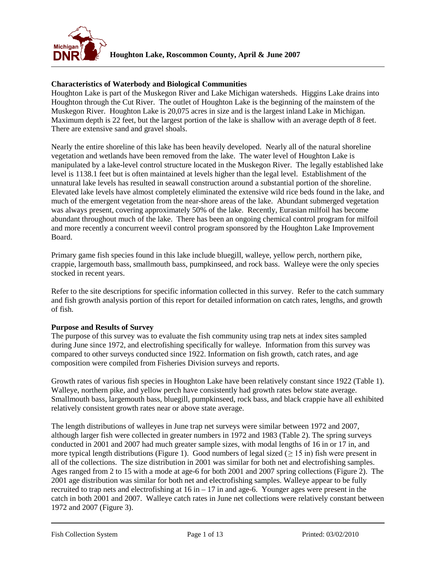

## **Characteristics of Waterbody and Biological Communities**

Houghton Lake is part of the Muskegon River and Lake Michigan watersheds. Higgins Lake drains into Houghton through the Cut River. The outlet of Houghton Lake is the beginning of the mainstem of the Muskegon River. Houghton Lake is 20,075 acres in size and is the largest inland Lake in Michigan. Maximum depth is 22 feet, but the largest portion of the lake is shallow with an average depth of 8 feet. There are extensive sand and gravel shoals.

Nearly the entire shoreline of this lake has been heavily developed. Nearly all of the natural shoreline vegetation and wetlands have been removed from the lake. The water level of Houghton Lake is manipulated by a lake-level control structure located in the Muskegon River. The legally established lake level is 1138.1 feet but is often maintained at levels higher than the legal level. Establishment of the unnatural lake levels has resulted in seawall construction around a substantial portion of the shoreline. Elevated lake levels have almost completely eliminated the extensive wild rice beds found in the lake, and much of the emergent vegetation from the near-shore areas of the lake. Abundant submerged vegetation was always present, covering approximately 50% of the lake. Recently, Eurasian milfoil has become abundant throughout much of the lake. There has been an ongoing chemical control program for milfoil and more recently a concurrent weevil control program sponsored by the Houghton Lake Improvement Board.

Primary game fish species found in this lake include bluegill, walleye, yellow perch, northern pike, crappie, largemouth bass, smallmouth bass, pumpkinseed, and rock bass. Walleye were the only species stocked in recent years.

Refer to the site descriptions for specific information collected in this survey. Refer to the catch summary and fish growth analysis portion of this report for detailed information on catch rates, lengths, and growth of fish.

## **Purpose and Results of Survey**

The purpose of this survey was to evaluate the fish community using trap nets at index sites sampled during June since 1972, and electrofishing specifically for walleye. Information from this survey was compared to other surveys conducted since 1922. Information on fish growth, catch rates, and age composition were compiled from Fisheries Division surveys and reports.

Growth rates of various fish species in Houghton Lake have been relatively constant since 1922 (Table 1). Walleye, northern pike, and yellow perch have consistently had growth rates below state average. Smallmouth bass, largemouth bass, bluegill, pumpkinseed, rock bass, and black crappie have all exhibited relatively consistent growth rates near or above state average.

The length distributions of walleyes in June trap net surveys were similar between 1972 and 2007, although larger fish were collected in greater numbers in 1972 and 1983 (Table 2). The spring surveys conducted in 2001 and 2007 had much greater sample sizes, with modal lengths of 16 in or 17 in, and more typical length distributions (Figure 1). Good numbers of legal sized ( $\geq$  15 in) fish were present in all of the collections. The size distribution in 2001 was similar for both net and electrofishing samples. Ages ranged from 2 to 15 with a mode at age-6 for both 2001 and 2007 spring collections (Figure 2). The 2001 age distribution was similar for both net and electrofishing samples. Walleye appear to be fully recruited to trap nets and electrofishing at  $16$  in  $-17$  in and age-6. Younger ages were present in the catch in both 2001 and 2007. Walleye catch rates in June net collections were relatively constant between 1972 and 2007 (Figure 3).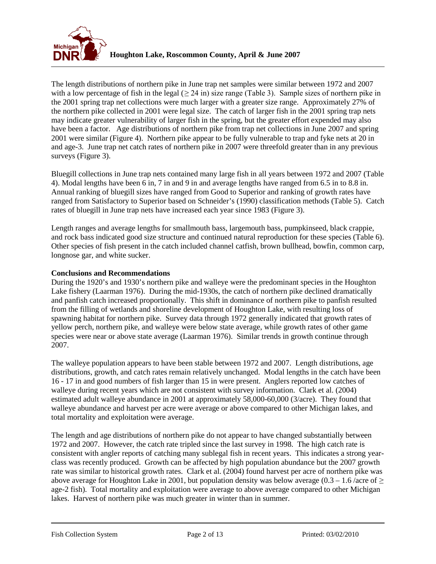

The length distributions of northern pike in June trap net samples were similar between 1972 and 2007 with a low percentage of fish in the legal ( $\geq$  24 in) size range (Table 3). Sample sizes of northern pike in the 2001 spring trap net collections were much larger with a greater size range. Approximately 27% of the northern pike collected in 2001 were legal size. The catch of larger fish in the 2001 spring trap nets may indicate greater vulnerability of larger fish in the spring, but the greater effort expended may also have been a factor. Age distributions of northern pike from trap net collections in June 2007 and spring 2001 were similar (Figure 4). Northern pike appear to be fully vulnerable to trap and fyke nets at 20 in and age-3. June trap net catch rates of northern pike in 2007 were threefold greater than in any previous surveys (Figure 3).

Bluegill collections in June trap nets contained many large fish in all years between 1972 and 2007 (Table 4). Modal lengths have been 6 in, 7 in and 9 in and average lengths have ranged from 6.5 in to 8.8 in. Annual ranking of bluegill sizes have ranged from Good to Superior and ranking of growth rates have ranged from Satisfactory to Superior based on Schneider's (1990) classification methods (Table 5). Catch rates of bluegill in June trap nets have increased each year since 1983 (Figure 3).

Length ranges and average lengths for smallmouth bass, largemouth bass, pumpkinseed, black crappie, and rock bass indicated good size structure and continued natural reproduction for these species (Table 6). Other species of fish present in the catch included channel catfish, brown bullhead, bowfin, common carp, longnose gar, and white sucker.

## **Conclusions and Recommendations**

During the 1920's and 1930's northern pike and walleye were the predominant species in the Houghton Lake fishery (Laarman 1976). During the mid-1930s, the catch of northern pike declined dramatically and panfish catch increased proportionally. This shift in dominance of northern pike to panfish resulted from the filling of wetlands and shoreline development of Houghton Lake, with resulting loss of spawning habitat for northern pike. Survey data through 1972 generally indicated that growth rates of yellow perch, northern pike, and walleye were below state average, while growth rates of other game species were near or above state average (Laarman 1976). Similar trends in growth continue through 2007.

The walleye population appears to have been stable between 1972 and 2007. Length distributions, age distributions, growth, and catch rates remain relatively unchanged. Modal lengths in the catch have been 16 - 17 in and good numbers of fish larger than 15 in were present. Anglers reported low catches of walleye during recent years which are not consistent with survey information. Clark et al. (2004) estimated adult walleye abundance in 2001 at approximately 58,000-60,000 (3/acre). They found that walleye abundance and harvest per acre were average or above compared to other Michigan lakes, and total mortality and exploitation were average.

The length and age distributions of northern pike do not appear to have changed substantially between 1972 and 2007. However, the catch rate tripled since the last survey in 1998. The high catch rate is consistent with angler reports of catching many sublegal fish in recent years. This indicates a strong yearclass was recently produced. Growth can be affected by high population abundance but the 2007 growth rate was similar to historical growth rates. Clark et al. (2004) found harvest per acre of northern pike was above average for Houghton Lake in 2001, but population density was below average (0.3 – 1.6 /acre of  $\geq$ age-2 fish). Total mortality and exploitation were average to above average compared to other Michigan lakes. Harvest of northern pike was much greater in winter than in summer.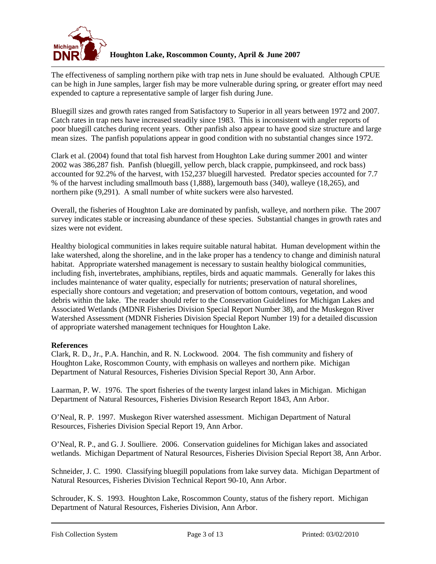

The effectiveness of sampling northern pike with trap nets in June should be evaluated. Although CPUE can be high in June samples, larger fish may be more vulnerable during spring, or greater effort may need expended to capture a representative sample of larger fish during June.

Bluegill sizes and growth rates ranged from Satisfactory to Superior in all years between 1972 and 2007. Catch rates in trap nets have increased steadily since 1983. This is inconsistent with angler reports of poor bluegill catches during recent years. Other panfish also appear to have good size structure and large mean sizes. The panfish populations appear in good condition with no substantial changes since 1972.

Clark et al. (2004) found that total fish harvest from Houghton Lake during summer 2001 and winter 2002 was 386,287 fish. Panfish (bluegill, yellow perch, black crappie, pumpkinseed, and rock bass) accounted for 92.2% of the harvest, with 152,237 bluegill harvested. Predator species accounted for 7.7 % of the harvest including smallmouth bass (1,888), largemouth bass (340), walleye (18,265), and northern pike (9,291). A small number of white suckers were also harvested.

Overall, the fisheries of Houghton Lake are dominated by panfish, walleye, and northern pike. The 2007 survey indicates stable or increasing abundance of these species. Substantial changes in growth rates and sizes were not evident.

Healthy biological communities in lakes require suitable natural habitat. Human development within the lake watershed, along the shoreline, and in the lake proper has a tendency to change and diminish natural habitat. Appropriate watershed management is necessary to sustain healthy biological communities, including fish, invertebrates, amphibians, reptiles, birds and aquatic mammals. Generally for lakes this includes maintenance of water quality, especially for nutrients; preservation of natural shorelines, especially shore contours and vegetation; and preservation of bottom contours, vegetation, and wood debris within the lake. The reader should refer to the Conservation Guidelines for Michigan Lakes and Associated Wetlands (MDNR Fisheries Division Special Report Number 38), and the Muskegon River Watershed Assessment (MDNR Fisheries Division Special Report Number 19) for a detailed discussion of appropriate watershed management techniques for Houghton Lake.

## **References**

Clark, R. D., Jr., P.A. Hanchin, and R. N. Lockwood. 2004. The fish community and fishery of Houghton Lake, Roscommon County, with emphasis on walleyes and northern pike. Michigan Department of Natural Resources, Fisheries Division Special Report 30, Ann Arbor.

Laarman, P. W. 1976. The sport fisheries of the twenty largest inland lakes in Michigan. Michigan Department of Natural Resources, Fisheries Division Research Report 1843, Ann Arbor.

O'Neal, R. P. 1997. Muskegon River watershed assessment. Michigan Department of Natural Resources, Fisheries Division Special Report 19, Ann Arbor.

O'Neal, R. P., and G. J. Soulliere. 2006. Conservation guidelines for Michigan lakes and associated wetlands. Michigan Department of Natural Resources, Fisheries Division Special Report 38, Ann Arbor.

Schneider, J. C. 1990. Classifying bluegill populations from lake survey data. Michigan Department of Natural Resources, Fisheries Division Technical Report 90-10, Ann Arbor.

Schrouder, K. S. 1993. Houghton Lake, Roscommon County, status of the fishery report. Michigan Department of Natural Resources, Fisheries Division, Ann Arbor.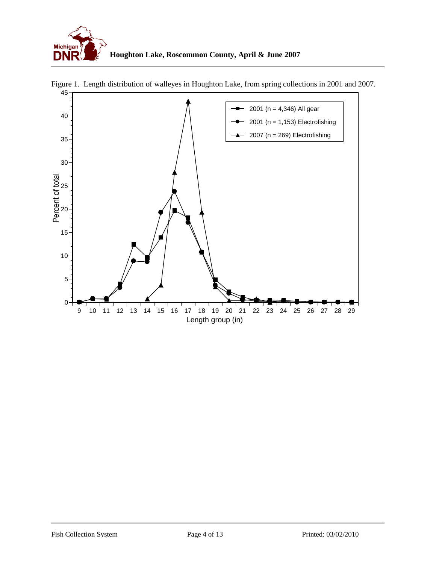



Figure 1. Length distribution of walleyes in Houghton Lake, from spring collections in 2001 and 2007.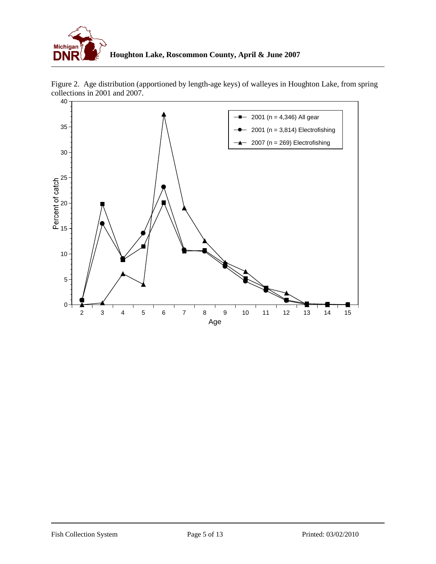



Figure 2. Age distribution (apportioned by length-age keys) of walleyes in Houghton Lake, from spring collections in 2001 and 2007.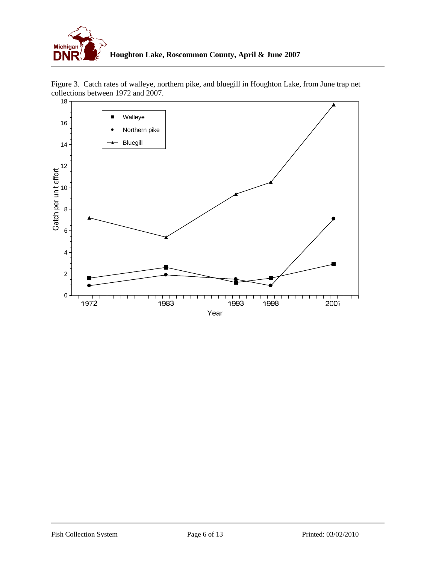

Figure 3. Catch rates of walleye, northern pike, and bluegill in Houghton Lake, from June trap net collections between 1972 and 2007.

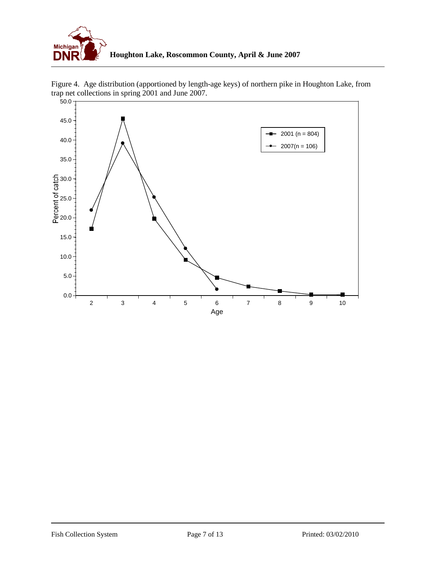



Figure 4. Age distribution (apportioned by length-age keys) of northern pike in Houghton Lake, from trap net collections in spring 2001 and June 2007.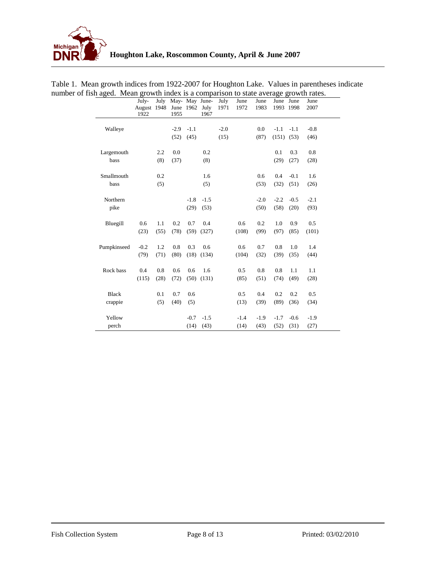

|              | July-<br>August 1948 June 1962 July<br>1922 |      | 1955   |        | July May- May June- July<br>1967 | 1971   | June<br>1972 | June<br>1983 | June June      | 1993 1998 | June<br>2007 |
|--------------|---------------------------------------------|------|--------|--------|----------------------------------|--------|--------------|--------------|----------------|-----------|--------------|
| Walleye      |                                             |      | $-2.9$ | $-1.1$ |                                  | $-2.0$ |              | 0.0          | $-1.1$         | $-1.1$    | $-0.8$       |
|              |                                             |      | (52)   | (45)   |                                  | (15)   |              | (87)         | $(151)$ $(53)$ |           | (46)         |
| Largemouth   |                                             | 2.2  | 0.0    |        | 0.2                              |        |              |              | 0.1            | 0.3       | 0.8          |
| bass         |                                             | (8)  | (37)   |        | (8)                              |        |              |              | (29)           | (27)      | (28)         |
| Smallmouth   |                                             | 0.2  |        |        | 1.6                              |        |              | 0.6          | 0.4            | $-0.1$    | 1.6          |
| bass         |                                             | (5)  |        |        | (5)                              |        |              | (53)         | (32)           | (51)      | (26)         |
| Northern     |                                             |      |        | $-1.8$ | $-1.5$                           |        |              | $-2.0$       | $-2.2$         | $-0.5$    | $-2.1$       |
| pike         |                                             |      |        | (29)   | (53)                             |        |              | (50)         | (58)           | (20)      | (93)         |
| Bluegill     | 0.6                                         | 1.1  | 0.2    | 0.7    | 0.4                              |        | 0.6          | 0.2          | 1.0            | 0.9       | 0.5          |
|              | (23)                                        | (55) | (78)   | (59)   | (327)                            |        | (108)        | (99)         | (97)           | (85)      | (101)        |
| Pumpkinseed  | $-0.2$                                      | 1.2  | 0.8    | 0.3    | 0.6                              |        | 0.6          | 0.7          | 0.8            | 1.0       | 1.4          |
|              | (79)                                        | (71) | (80)   |        | $(18)$ $(134)$                   |        | (104)        | (32)         | (39)           | (35)      | (44)         |
| Rock bass    | 0.4                                         | 0.8  | 0.6    | 0.6    | 1.6                              |        | 0.5          | 0.8          | 0.8            | 1.1       | 1.1          |
|              | (115)                                       | (28) | (72)   |        | $(50)$ $(131)$                   |        | (85)         | (51)         | (74)           | (49)      | (28)         |
| <b>Black</b> |                                             | 0.1  | 0.7    | 0.6    |                                  |        | 0.5          | 0.4          | 0.2            | 0.2       | 0.5          |
| crappie      |                                             | (5)  | (40)   | (5)    |                                  |        | (13)         | (39)         | (89)           | (36)      | (34)         |
| Yellow       |                                             |      |        | $-0.7$ | $-1.5$                           |        | $-1.4$       | $-1.9$       | $-1.7$         | $-0.6$    | $-1.9$       |
| perch        |                                             |      |        | (14)   | (43)                             |        | (14)         | (43)         | (52)           | (31)      | (27)         |

Table 1. Mean growth indices from 1922-2007 for Houghton Lake. Values in parentheses indicate number of fish aged. Mean growth index is a comparison to state average growth rates.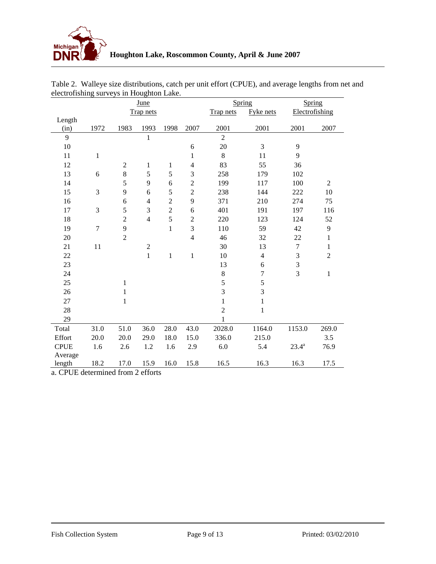

| <b>June</b>    |                          |                                        |                     |                |                                                                                                               |                                                       | Spring                                 |                                    |
|----------------|--------------------------|----------------------------------------|---------------------|----------------|---------------------------------------------------------------------------------------------------------------|-------------------------------------------------------|----------------------------------------|------------------------------------|
|                | <b>Trap nets</b>         |                                        |                     | Trap nets      | Fyke nets                                                                                                     | Electrofishing                                        |                                        |                                    |
|                |                          |                                        |                     |                |                                                                                                               |                                                       |                                        |                                    |
|                |                          |                                        |                     |                |                                                                                                               |                                                       |                                        | 2007                               |
|                |                          |                                        |                     |                |                                                                                                               |                                                       |                                        |                                    |
|                |                          |                                        |                     |                |                                                                                                               |                                                       |                                        |                                    |
|                |                          |                                        |                     |                |                                                                                                               |                                                       |                                        |                                    |
|                |                          | $\mathbf 1$                            | $\mathbf{1}$        |                |                                                                                                               |                                                       |                                        |                                    |
|                |                          |                                        |                     |                |                                                                                                               |                                                       |                                        |                                    |
|                |                          |                                        | 6                   |                |                                                                                                               | 117                                                   |                                        | 2                                  |
| 3              | 9                        | 6                                      | 5                   | $\overline{c}$ | 238                                                                                                           | 144                                                   | 222                                    | 10                                 |
|                | 6                        | $\overline{4}$                         | $\overline{2}$      | 9              | 371                                                                                                           | 210                                                   | 274                                    | 75                                 |
| 3              | 5                        | 3                                      | $\overline{2}$      | 6              | 401                                                                                                           | 191                                                   | 197                                    | 116                                |
|                | $\overline{2}$           | $\overline{4}$                         | 5                   | $\overline{2}$ | 220                                                                                                           | 123                                                   | 124                                    | 52                                 |
| $\overline{7}$ | 9                        |                                        | $\mathbf{1}$        | 3              | 110                                                                                                           | 59                                                    | 42                                     | $\mathbf{9}$                       |
|                | $\overline{2}$           |                                        |                     | $\overline{4}$ | 46                                                                                                            | 32                                                    | 22                                     | $\mathbf{1}$                       |
| 11             |                          | $\sqrt{2}$                             |                     |                | 30                                                                                                            | 13                                                    | $\overline{7}$                         | $\,1$                              |
|                |                          | $\mathbf{1}$                           | $\mathbf 1$         | $\mathbf{1}$   | 10                                                                                                            | $\overline{4}$                                        | 3                                      | $\overline{2}$                     |
|                |                          |                                        |                     |                | 13                                                                                                            | 6                                                     | 3                                      |                                    |
|                |                          |                                        |                     |                | $\,8\,$                                                                                                       | 7                                                     | $\overline{3}$                         | 1                                  |
|                | $\mathbf 1$              |                                        |                     |                | 5                                                                                                             | 5                                                     |                                        |                                    |
|                | 1                        |                                        |                     |                | $\overline{3}$                                                                                                | $\overline{3}$                                        |                                        |                                    |
|                | $\mathbf 1$              |                                        |                     |                | $\mathbf{1}$                                                                                                  | $\,1$                                                 |                                        |                                    |
|                |                          |                                        |                     |                | $\overline{2}$                                                                                                | $\mathbf{1}$                                          |                                        |                                    |
|                |                          |                                        |                     |                | $\mathbf{1}$                                                                                                  |                                                       |                                        |                                    |
| 31.0           | 51.0                     | 36.0                                   | 28.0                | 43.0           | 2028.0                                                                                                        | 1164.0                                                | 1153.0                                 | 269.0                              |
| 20.0           | 20.0                     | 29.0                                   | 18.0                | 15.0           | 336.0                                                                                                         | 215.0                                                 |                                        | 3.5                                |
| 1.6            | 2.6                      | 1.2                                    | 1.6                 | 2.9            | 6.0                                                                                                           | 5.4                                                   | $23.4^a$                               | 76.9                               |
|                |                          |                                        |                     |                |                                                                                                               |                                                       |                                        |                                    |
| 18.2           | 17.0                     | 15.9                                   | 16.0                | 15.8           | 16.5                                                                                                          | 16.3                                                  | 16.3                                   | 17.5                               |
|                | 1972<br>$\mathbf 1$<br>6 | 1983<br>$\overline{2}$<br>$\,8\,$<br>5 | 1993<br>1<br>5<br>9 | 1998<br>5      | 2007<br>6<br>$\mathbf{1}$<br>$\overline{4}$<br>3<br>$\overline{c}$<br>$\sim$ CDUE determined from $2$ effects | 2001<br>$\overline{2}$<br>20<br>8<br>83<br>258<br>199 | Spring<br>2001<br>3<br>11<br>55<br>179 | 2001<br>9<br>9<br>36<br>102<br>100 |

| Table 2. Walleye size distributions, catch per unit effort (CPUE), and average lengths from net and |  |
|-----------------------------------------------------------------------------------------------------|--|
| electrofishing surveys in Houghton Lake.                                                            |  |

a. CPUE determined from 2 efforts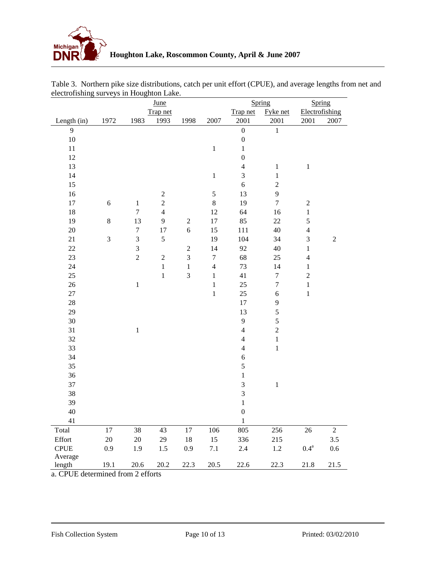

|             |            | June             |                |                |                         |                         | Spring           | Spring             |                  |
|-------------|------------|------------------|----------------|----------------|-------------------------|-------------------------|------------------|--------------------|------------------|
|             |            |                  | Trap net       |                |                         | Trap net                | Fyke net         | Electrofishing     |                  |
| Length (in) | 1972       | 1983             | 1993           | 1998           | 2007                    | 2001                    | 2001             | 2001               | 2007             |
| 9           |            |                  |                |                |                         | $\boldsymbol{0}$        | $\,1\,$          |                    |                  |
| $10\,$      |            |                  |                |                |                         | $\boldsymbol{0}$        |                  |                    |                  |
| 11          |            |                  |                |                | $\,1$                   | $\,1$                   |                  |                    |                  |
| 12          |            |                  |                |                |                         | $\boldsymbol{0}$        |                  |                    |                  |
| 13          |            |                  |                |                |                         | $\overline{4}$          | $\mathbf{1}$     | $\,1$              |                  |
| 14          |            |                  |                |                | $\,1$                   | 3                       | $\,1\,$          |                    |                  |
| 15          |            |                  |                |                |                         | 6                       | $\sqrt{2}$       |                    |                  |
| 16          |            |                  | $\overline{c}$ |                | 5                       | 13                      | 9                |                    |                  |
| $17\,$      | $\sqrt{6}$ | $\,1\,$          | $\overline{c}$ |                | $\,8\,$                 | 19                      | $\overline{7}$   | $\sqrt{2}$         |                  |
| 18          |            | $\boldsymbol{7}$ | $\overline{4}$ |                | 12                      | 64                      | 16               | $\,1$              |                  |
| 19          | $8\,$      | 13               | 9              | $\sqrt{2}$     | $17\,$                  | 85                      | $22\,$           | 5                  |                  |
| 20          |            | $\boldsymbol{7}$ | 17             | $\sqrt{6}$     | 15                      | 111                     | 40               | $\overline{4}$     |                  |
| 21          | 3          | $\sqrt{3}$       | 5              |                | 19                      | 104                     | 34               | $\mathfrak{Z}$     | $\boldsymbol{2}$ |
| $22\,$      |            | 3                |                | $\mathfrak{2}$ | 14                      | 92                      | 40               | $\,1$              |                  |
| 23          |            | $\overline{2}$   | $\sqrt{2}$     | 3              | $\boldsymbol{7}$        | 68                      | 25               | $\overline{4}$     |                  |
| 24          |            |                  | $\mathbf 1$    | $\mathbf{1}$   | $\overline{\mathbf{4}}$ | 73                      | 14               | $\,1$              |                  |
| 25          |            |                  | $\,1$          | 3              | $\,1$                   | 41                      | $\boldsymbol{7}$ | $\boldsymbol{2}$   |                  |
| $26\,$      |            | $\,1\,$          |                |                | $\,1$                   | $25\,$                  | $\boldsymbol{7}$ | $\mathbf{1}$       |                  |
| $27\,$      |            |                  |                |                | $\mathbf{1}$            | $25\,$                  | 6                | $\mathbf 1$        |                  |
| 28          |            |                  |                |                |                         | $17\,$                  | $\mathbf{9}$     |                    |                  |
| 29          |            |                  |                |                |                         | 13                      | 5                |                    |                  |
| 30          |            |                  |                |                |                         | 9                       | 5                |                    |                  |
| 31          |            | $\,1$            |                |                |                         | $\overline{4}$          | $\overline{c}$   |                    |                  |
| 32          |            |                  |                |                |                         | $\overline{\mathbf{4}}$ | $\,1\,$          |                    |                  |
| 33          |            |                  |                |                |                         | $\overline{4}$          | $\,1$            |                    |                  |
| 34          |            |                  |                |                |                         | 6                       |                  |                    |                  |
| 35          |            |                  |                |                |                         | 5                       |                  |                    |                  |
| 36          |            |                  |                |                |                         | $\,1$                   |                  |                    |                  |
| 37          |            |                  |                |                |                         | 3                       | $\,1$            |                    |                  |
| 38          |            |                  |                |                |                         | 3                       |                  |                    |                  |
| 39          |            |                  |                |                |                         | $\,1$                   |                  |                    |                  |
| 40          |            |                  |                |                |                         | $\overline{0}$          |                  |                    |                  |
| 41          |            |                  |                |                |                         | $\,1$                   |                  |                    |                  |
| Total       | 17         | 38               | 43             | 17             | 106                     | 805                     | 256              | 26                 | $\overline{2}$   |
| Effort      | $20\,$     | $20\,$           | 29             | 18             | 15                      | 336                     | 215              |                    | 3.5              |
| <b>CPUE</b> | 0.9        | 1.9              | 1.5            | 0.9            | 7.1                     | $2.4\,$                 | $1.2\,$          | $0.4^{\mathrm{a}}$ | $0.6\,$          |
| Average     |            |                  |                |                |                         |                         |                  |                    |                  |
| length      | 19.1       | 20.6             | 20.2           | 22.3           | 20.5                    | 22.6                    | 22.3             | 21.8               | 21.5             |

Table 3. Northern pike size distributions, catch per unit effort (CPUE), and average lengths from net and electrofishing surveys in Houghton Lake.

a. CPUE determined from 2 efforts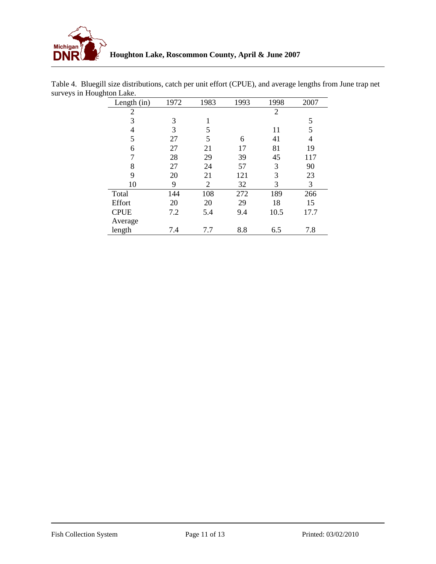

| Length (in)    | 1972 | 1983           | 1993 | 1998 | 2007 |
|----------------|------|----------------|------|------|------|
| $\overline{2}$ |      |                |      | 2    |      |
| 3              | 3    | 1              |      |      | 5    |
| 4              | 3    | 5              |      | 11   | 5    |
| 5              | 27   | 5              | 6    | 41   | 4    |
| 6              | 27   | 21             | 17   | 81   | 19   |
| 7              | 28   | 29             | 39   | 45   | 117  |
| 8              | 27   | 24             | 57   | 3    | 90   |
| 9              | 20   | 21             | 121  | 3    | 23   |
| 10             | 9    | $\overline{2}$ | 32   | 3    | 3    |
| Total          | 144  | 108            | 272  | 189  | 266  |
| Effort         | 20   | 20             | 29   | 18   | 15   |
| <b>CPUE</b>    | 7.2  | 5.4            | 9.4  | 10.5 | 17.7 |
| Average        |      |                |      |      |      |
| length         | 7.4  | 7.7            | 8.8  | 6.5  | 7.8  |

Table 4. Bluegill size distributions, catch per unit effort (CPUE), and average lengths from June trap net surveys in Houghton Lake.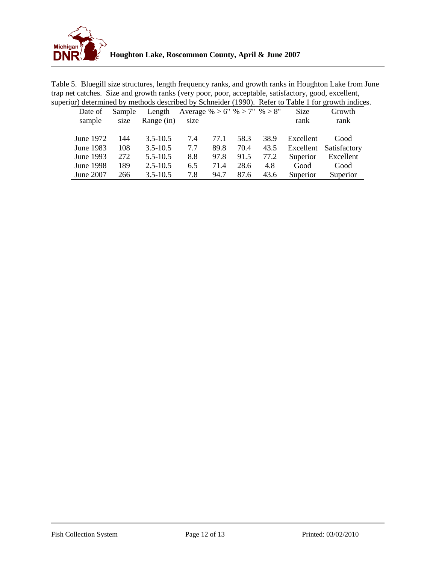

| Table 5. Bluegill size structures, length frequency ranks, and growth ranks in Houghton Lake from June |
|--------------------------------------------------------------------------------------------------------|
| trap net catches. Size and growth ranks (very poor, poor, acceptable, satisfactory, good, excellent,   |
| superior) determined by methods described by Schneider (1990). Refer to Table 1 for growth indices.    |

|                  |        |              |                              |      |      |      |           | or accommod by includes described by Bennetder (1770). Refer to Table 1101 growth mateur |
|------------------|--------|--------------|------------------------------|------|------|------|-----------|------------------------------------------------------------------------------------------|
| Date of          | Sample | Length       | Average % > 6" % > 7" % > 8" |      |      |      | Size      | Growth                                                                                   |
| sample           | size   | Range (in)   | size                         |      |      |      | rank      | rank                                                                                     |
|                  |        |              |                              |      |      |      |           |                                                                                          |
| June 1972        | 144    | $3.5 - 10.5$ | 7.4                          | 77.1 | 58.3 | 38.9 | Excellent | Good                                                                                     |
| June 1983        | 108    | $3.5 - 10.5$ | 7.7                          | 89.8 | 70.4 | 43.5 |           | Excellent Satisfactory                                                                   |
| June 1993        | 272    | $5.5 - 10.5$ | 8.8                          | 97.8 | 91.5 | 77.2 | Superior  | Excellent                                                                                |
| <b>June 1998</b> | 189    | $2.5 - 10.5$ | 6.5                          | 71.4 | 28.6 | 4.8  | Good      | Good                                                                                     |
| <b>June 2007</b> | 266    | $3.5 - 10.5$ | 7.8                          | 94.7 | 87.6 | 43.6 | Superior  | Superior                                                                                 |